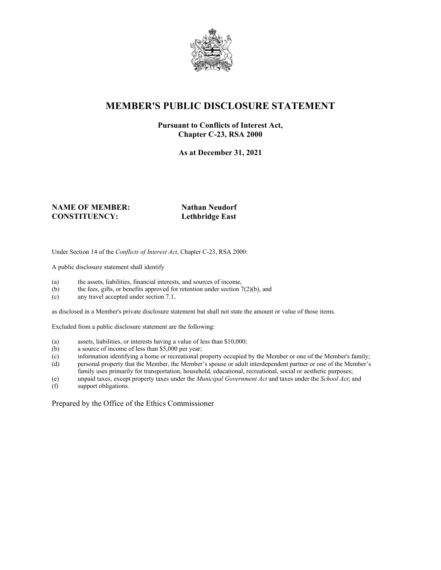

# **MEMBER'S PUBLIC DISCLOSURE STATEMENT**

#### **Pursuant to Conflicts of Interest Act, Chapter C-23, RSA 2000**

**As at December 31, 2021**

#### **NAME OF MEMBER:** Nathan Neudorf **CONSTITUENCY: Lethbridge East**

Under Section 14 of the *Conflicts of Interest Act*, Chapter C-23, RSA 2000:

A public disclosure statement shall identify

- (a) the assets, liabilities, financial interests, and sources of income,
- (b) the fees, gifts, or benefits approved for retention under section  $7(2)(b)$ , and
- (c) any travel accepted under section 7.1,

as disclosed in a Member's private disclosure statement but shall not state the amount or value of those items.

Excluded from a public disclosure statement are the following:

- (a) assets, liabilities, or interests having a value of less than \$10,000;
- (b) a source of income of less than \$5,000 per year;
- (c) information identifying a home or recreational property occupied by the Member or one of the Member's family;
- (d) personal property that the Member, the Member's spouse or adult interdependent partner or one of the Member's family uses primarily for transportation, household, educational, recreational, social or aesthetic purposes;
- (e) unpaid taxes, except property taxes under the *Municipal Government Act* and taxes under the *School Act*; and
- support obligations.

Prepared by the Office of the Ethics Commissioner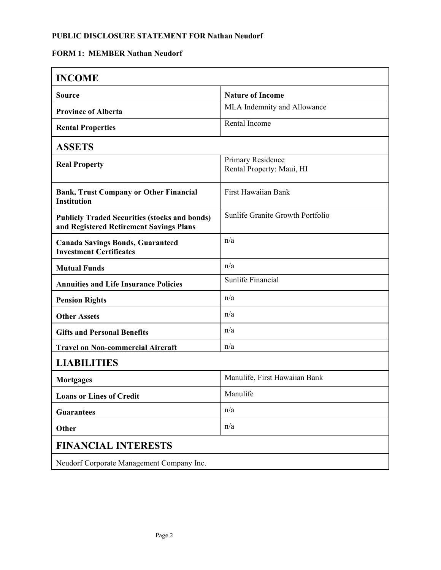## **FORM 1: MEMBER Nathan Neudorf**

| <b>INCOME</b>                                                                                   |                                                |  |
|-------------------------------------------------------------------------------------------------|------------------------------------------------|--|
| <b>Source</b>                                                                                   | <b>Nature of Income</b>                        |  |
| <b>Province of Alberta</b>                                                                      | MLA Indemnity and Allowance                    |  |
| <b>Rental Properties</b>                                                                        | Rental Income                                  |  |
| <b>ASSETS</b>                                                                                   |                                                |  |
| <b>Real Property</b>                                                                            | Primary Residence<br>Rental Property: Maui, HI |  |
| <b>Bank, Trust Company or Other Financial</b><br><b>Institution</b>                             | First Hawaiian Bank                            |  |
| <b>Publicly Traded Securities (stocks and bonds)</b><br>and Registered Retirement Savings Plans | Sunlife Granite Growth Portfolio               |  |
| <b>Canada Savings Bonds, Guaranteed</b><br><b>Investment Certificates</b>                       | n/a                                            |  |
| <b>Mutual Funds</b>                                                                             | n/a                                            |  |
| <b>Annuities and Life Insurance Policies</b>                                                    | Sunlife Financial                              |  |
| <b>Pension Rights</b>                                                                           | n/a                                            |  |
| <b>Other Assets</b>                                                                             | n/a                                            |  |
| <b>Gifts and Personal Benefits</b>                                                              | n/a                                            |  |
| <b>Travel on Non-commercial Aircraft</b>                                                        | n/a                                            |  |
| <b>LIABILITIES</b>                                                                              |                                                |  |
| Mortgages                                                                                       | Manulife, First Hawaiian Bank                  |  |
| <b>Loans or Lines of Credit</b>                                                                 | Manulife                                       |  |
| <b>Guarantees</b>                                                                               | n/a                                            |  |
| Other                                                                                           | n/a                                            |  |
| <b>FINANCIAL INTERESTS</b>                                                                      |                                                |  |
| Neudorf Corporate Management Company Inc.                                                       |                                                |  |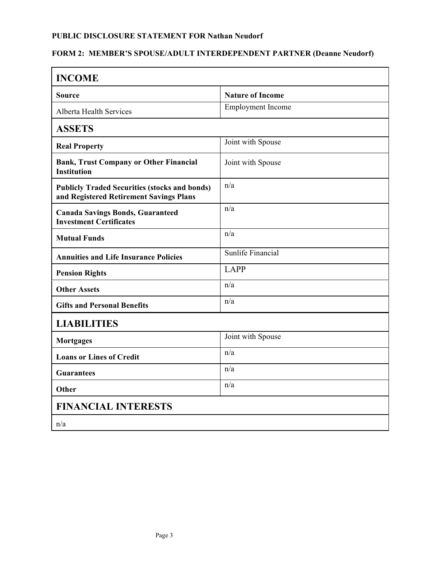# **FORM 2: MEMBER'S SPOUSE/ADULT INTERDEPENDENT PARTNER (Deanne Neudorf)**

| <b>INCOME</b>                                                                                   |                          |  |
|-------------------------------------------------------------------------------------------------|--------------------------|--|
| Source                                                                                          | <b>Nature of Income</b>  |  |
| Alberta Health Services                                                                         | <b>Employment Income</b> |  |
| <b>ASSETS</b>                                                                                   |                          |  |
| <b>Real Property</b>                                                                            | Joint with Spouse        |  |
| <b>Bank, Trust Company or Other Financial</b><br><b>Institution</b>                             | Joint with Spouse        |  |
| <b>Publicly Traded Securities (stocks and bonds)</b><br>and Registered Retirement Savings Plans | n/a                      |  |
| <b>Canada Savings Bonds, Guaranteed</b><br><b>Investment Certificates</b>                       | n/a                      |  |
| <b>Mutual Funds</b>                                                                             | n/a                      |  |
| <b>Annuities and Life Insurance Policies</b>                                                    | Sunlife Financial        |  |
| <b>Pension Rights</b>                                                                           | <b>LAPP</b>              |  |
| <b>Other Assets</b>                                                                             | n/a                      |  |
| <b>Gifts and Personal Benefits</b>                                                              | n/a                      |  |
| <b>LIABILITIES</b>                                                                              |                          |  |
| <b>Mortgages</b>                                                                                | Joint with Spouse        |  |
| <b>Loans or Lines of Credit</b>                                                                 | n/a                      |  |
| <b>Guarantees</b>                                                                               | n/a                      |  |
| Other                                                                                           | n/a                      |  |
| <b>FINANCIAL INTERESTS</b>                                                                      |                          |  |
| n/a                                                                                             |                          |  |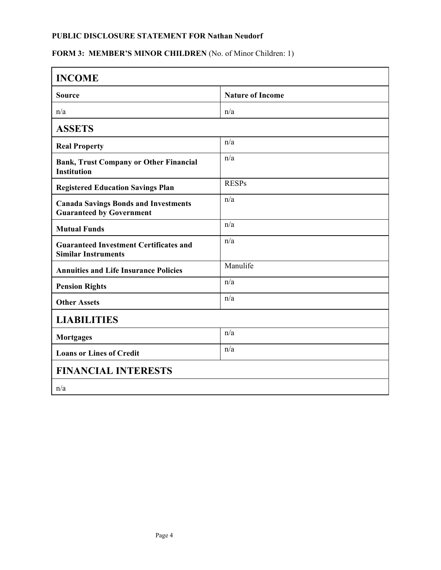# FORM 3: MEMBER'S MINOR CHILDREN (No. of Minor Children: 1)

| <b>INCOME</b>                                                                  |                         |  |
|--------------------------------------------------------------------------------|-------------------------|--|
| <b>Source</b>                                                                  | <b>Nature of Income</b> |  |
| n/a                                                                            | n/a                     |  |
| <b>ASSETS</b>                                                                  |                         |  |
| <b>Real Property</b>                                                           | n/a                     |  |
| <b>Bank, Trust Company or Other Financial</b><br><b>Institution</b>            | n/a                     |  |
| <b>Registered Education Savings Plan</b>                                       | <b>RESPs</b>            |  |
| <b>Canada Savings Bonds and Investments</b><br><b>Guaranteed by Government</b> | n/a                     |  |
| <b>Mutual Funds</b>                                                            | n/a                     |  |
| <b>Guaranteed Investment Certificates and</b><br><b>Similar Instruments</b>    | n/a                     |  |
| <b>Annuities and Life Insurance Policies</b>                                   | Manulife                |  |
| <b>Pension Rights</b>                                                          | n/a                     |  |
| <b>Other Assets</b>                                                            | n/a                     |  |
| <b>LIABILITIES</b>                                                             |                         |  |
| <b>Mortgages</b>                                                               | n/a                     |  |
| <b>Loans or Lines of Credit</b>                                                | n/a                     |  |
| <b>FINANCIAL INTERESTS</b>                                                     |                         |  |
| n/a                                                                            |                         |  |